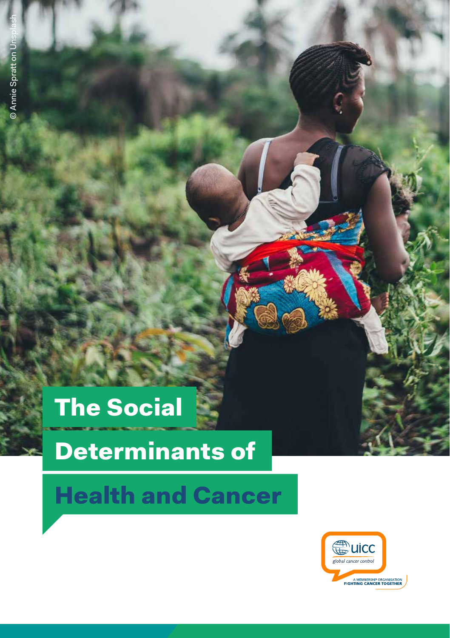# The Social

# Determinants of

# Health and Cancer

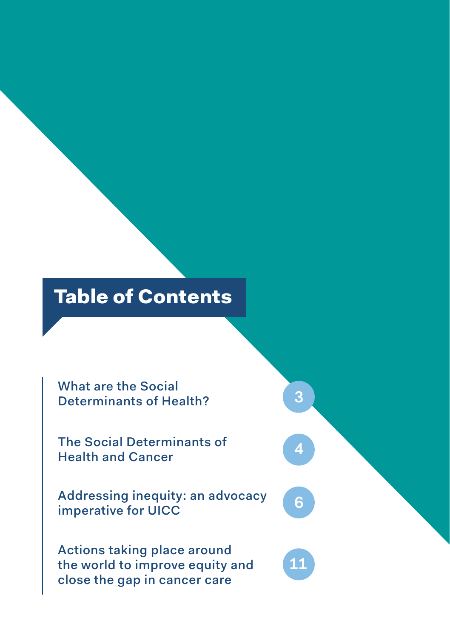## Table of Contents

What are the Social Determinants of Health?

The Social Determinants of Health and Cancer

Addressing inequity: an advocacy imperative for UICC

Actions taking place around the world to improve equity and close the gap in cancer care

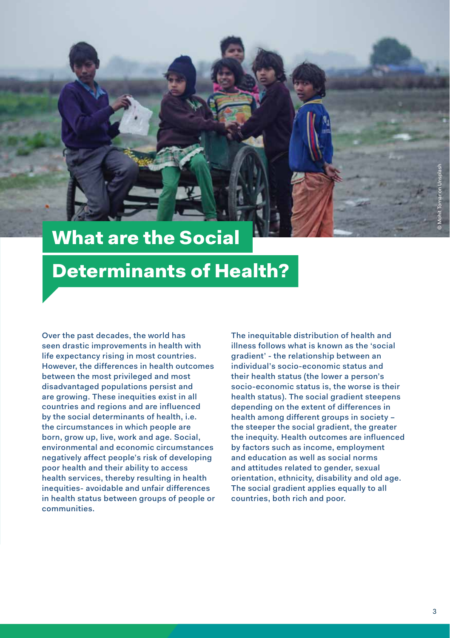<span id="page-2-0"></span>

## What are the Social

### Determinants of Health?

Over the past decades, the world has seen drastic improvements in health with life expectancy rising in most countries. However, the differences in health outcomes between the most privileged and most disadvantaged populations persist and are growing. These inequities exist in all countries and regions and are influenced by the social determinants of health, i.e. the circumstances in which people are born, grow up, live, work and age. Social, environmental and economic circumstances negatively affect people's risk of developing poor health and their ability to access health services, thereby resulting in health inequities- avoidable and unfair differences in health status between groups of people or communities.

The inequitable distribution of health and illness follows what is known as the 'social gradient' - the relationship between an individual's socio-economic status and their health status (the lower a person's socio-economic status is, the worse is their health status). The social gradient steepens depending on the extent of differences in health among different groups in society the steeper the social gradient, the greater the inequity. Health outcomes are influenced by factors such as income, employment and education as well as social norms and attitudes related to gender, sexual orientation, ethnicity, disability and old age. The social gradient applies equally to all countries, both rich and poor.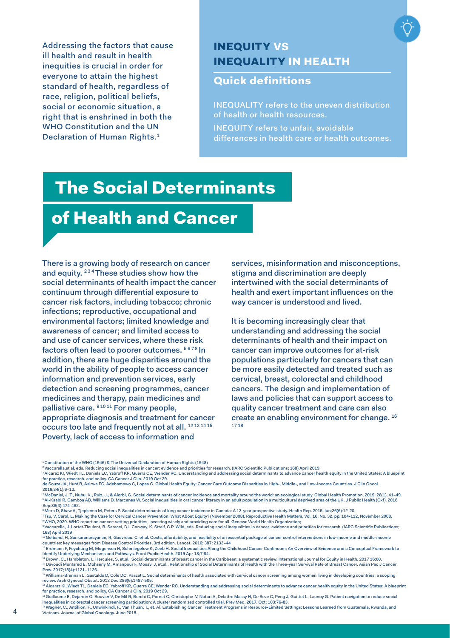<span id="page-3-0"></span>Addressing the factors that cause ill health and result in health inequities is crucial in order for everyone to attain the highest standard of health, regardless of race, religion, political beliefs. social or economic situation, a right that is enshrined in both the WHO Constitution and the UN Declaration of Human Rights.1

#### INEQUITY VS INEQUALITY IN HEALTH

#### Quick definitions

INEQUALITY refers to the uneven distribution of health or health resources.

INEQUITY refers to unfair, avoidable differences in health care or health outcomes.

### The Social Determinants

### of Health and Cancer

There is a growing body of research on cancer and equity. <sup>234</sup> These studies show how the social determinants of health impact the cancer continuum through differential exposure to cancer risk factors, including tobacco; chronic infections; reproductive, occupational and environmental factors; limited knowledge and awareness of cancer; and limited access to and use of cancer services, where these risk factors often lead to poorer outcomes. 5678 In addition, there are huge disparities around the world in the ability of people to access cancer information and prevention services, early detection and screening programmes, cancer medicines and therapy, pain medicines and palliative care. 91011 For many people, appropriate diagnosis and treatment for cancer occurs too late and frequently not at all. 12 13 14 15 Poverty, lack of access to information and

services, misinformation and misconceptions, stigma and discrimination are deeply intertwined with the social determinants of health and exert important influences on the way cancer is understood and lived.

It is becoming increasingly clear that understanding and addressing the social determinants of health and their impact on cancer can improve outcomes for at-risk populations particularly for cancers that can be more easily detected and treated such as cervical, breast, colorectal and childhood cancers. The design and implementation of laws and policies that can support access to quality cancer treatment and care can also create an enabling environment for change. 16 17 18

9 Vaccarella, J. Lortet-Tieulent, R. Saracci, D.I. Conway, K. Straif, C.P. Wild, eds. Reducing social inequalities in cancer: evidence and priorities for research. (IARC Scientific Publications; 168) April 2019<br>168) April 2019

<sup>1</sup> Constitution of the WHO (1946) & The Universal Declaration of Human Rights (1948)

<sup>2.</sup> Vac.<br>les for research. (IARC Scientific Publications; 168) April 2019.

<sup>3</sup> Alcaraz KI, Wiedt TL, Daniels EC, Yabroff KR, Guerra CE, Wender RC. Understanding and addressing social determinants to advance cancer health equity in the United States: A blueprint

for practice, research, and policy. CA Cancer J Clin. 2019 Oct 29.<br>de Souza JA, Hunt B, Asirwa FC, Adebamowo C, Lopes G. Global Health Equity: Cancer Care Outcome Disparities in High-, Middle-, and Low-Income Countries. J 2016;34(1):6–13.

<sup>\*</sup> McDaniel, J. T., Nuhu, K., Ruiz, J., & Alorbi, G. Social determinants of cancer incidence and mortality around the world: an exological study, Global Health Promotion. 2019; 26(1), 41–49.<br>\* Al-Kaabi R, Gamboa AB, William Sep:38(3):474-482.

<sup>6</sup> Mitra D, Shaw A, Tjepkema M, Peters P. Social determinants of lung cancer incidence in Canada: A 13-year prospective study. Health Rep. 2015 Jun;26(6):12-20. <sup>7</sup>Tsu, V, Carol, L. Making the Case for Cervical Cancer Prevention: What About Equity? (November 2008). Reproductive Health Matters, Vol. 16, No. 32, pp. 104-112, November 2008<br>\*WHO, 2020. WHO report on cancer: setting pr

<sup>10</sup> Gelband, H, Sankaranarayanan, R, Gauvreau, C, et.al. Costs, affordability, and feasibility of an essential package of cancer control interventions in low-income and middle-income countries: key messages from Disease Control Priorities, 3rd edition. Lancet. 2016; 387: 2133–44

<sup>11</sup> Erdmann F, Feychting M, Mogensen H, Schmiegelow K, Zeeb H. Social Inequalities Along the Childhood Cancer Continuum: An Overview of Evidence and a Conceptual Framework to Identify Underlying Mechanisms and Pathways. Front Public Health. 2019 Apr 18;7:84.

<sup>&</sup>lt;sup>12</sup> Brown, C., Hambleton, I., Hercules, S, et.al. Social determinants of breast cancer in the Caribbean: a systematic review. International Journal for Equity in Health. 2017 16:60.<br><sup>13</sup> Davoudi Monfared E, Mohseny M, Ama Prev. 2017;18(4):1121–1126.

<sup>14</sup> Williams-Brennan L, Gastaldo D, Cole DC, Paszat L. Social determinants of health associated with cervical cancer screening among women living in developing countries: a scoping review. Arch Gynecol Obstet. 2012 Dec;286(6):1487-505.

<sup>15</sup> Alcaraz KI, Wiedt TL, Daniels EC, Yabroff KR, Guerra CE, Wender RC. Understanding and addressing social determinants to advance cancer health equity in the United States: A blueprint for practice, research, and policy. CA Cancer J Cilin. 2019 Oct 29.<br>\*fQuillaume E, Dejardin O, Bouvier V, De Mil R, Berchi C, Pornet C, Christophe V, Notari A, Delattre Massy H, De Seze C, Peng J, Guittet L, Launoy G. Pati

inequalities in colorectal cancer screening participation: A cluster randomized controlled trial. Prev Med. 2017. Oct; 103:76-83.

<sup>-&</sup>quot;Wagner, C., Antillion, F., Unwinkindi, F., Van Thuan, T., et. Al. Establishing Cancer Treatment Programs in Resource-Limited Settings: Lessons Learned from Guatemala, Rwanda, and<br>Vietnam. Journal of Global Oncology. June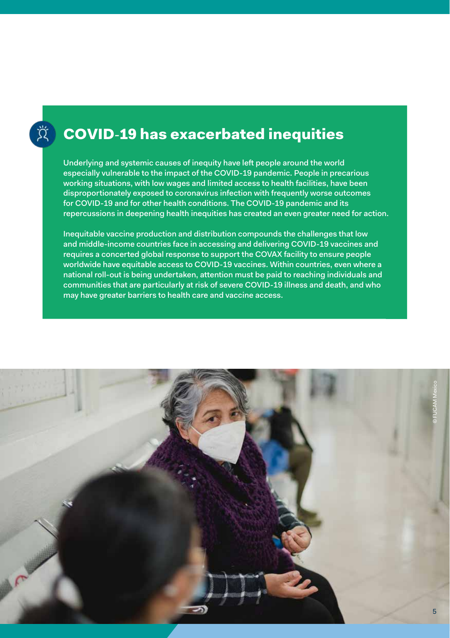### COVID**-**19 has exacerbated inequities

Underlying and systemic causes of inequity have left people around the world especially vulnerable to the impact of the COVID-19 pandemic. People in precarious working situations, with low wages and limited access to health facilities, have been disproportionately exposed to coronavirus infection with frequently worse outcomes for COVID-19 and for other health conditions. The COVID-19 pandemic and its repercussions in deepening health inequities has created an even greater need for action.

Inequitable vaccine production and distribution compounds the challenges that low and middle-income countries face in accessing and delivering COVID-19 vaccines and requires a concerted global response to support the COVAX facility to ensure people worldwide have equitable access to COVID-19 vaccines. Within countries, even where a national roll-out is being undertaken, attention must be paid to reaching individuals and communities that are particularly at risk of severe COVID-19 illness and death, and who may have greater barriers to health care and vaccine access.

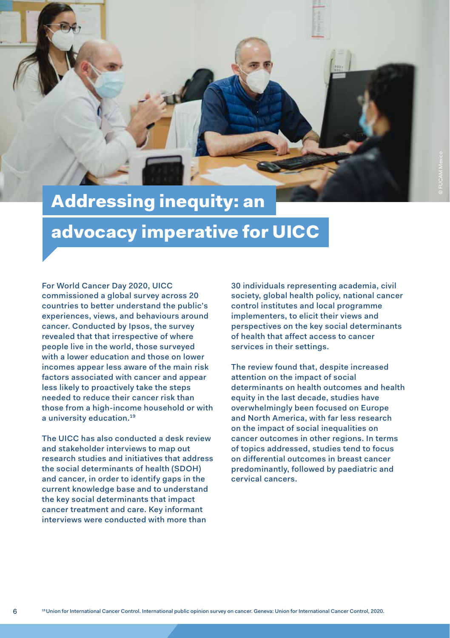<span id="page-5-0"></span>

## Addressing inequity: an

### advocacy imperative for UICC

For World Cancer Day 2020, UICC commissioned a global survey across 20 countries to better understand the public's experiences, views, and behaviours around cancer. Conducted by Ipsos, the survey revealed that that irrespective of where people live in the world, those surveyed with a lower education and those on lower incomes appear less aware of the main risk factors associated with cancer and appear less likely to proactively take the steps needed to reduce their cancer risk than those from a high-income household or with a university education.19

The UICC has also conducted a desk review and stakeholder interviews to map out research studies and initiatives that address the social determinants of health (SDOH) and cancer, in order to identify gaps in the current knowledge base and to understand the key social determinants that impact cancer treatment and care. Key informant interviews were conducted with more than

6

30 individuals representing academia, civil society, global health policy, national cancer control institutes and local programme implementers, to elicit their views and perspectives on the key social determinants of health that affect access to cancer services in their settings.

The review found that, despite increased attention on the impact of social determinants on health outcomes and health equity in the last decade, studies have overwhelmingly been focused on Europe and North America, with far less research on the impact of social inequalities on cancer outcomes in other regions. In terms of topics addressed, studies tend to focus on differential outcomes in breast cancer predominantly, followed by paediatric and cervical cancers.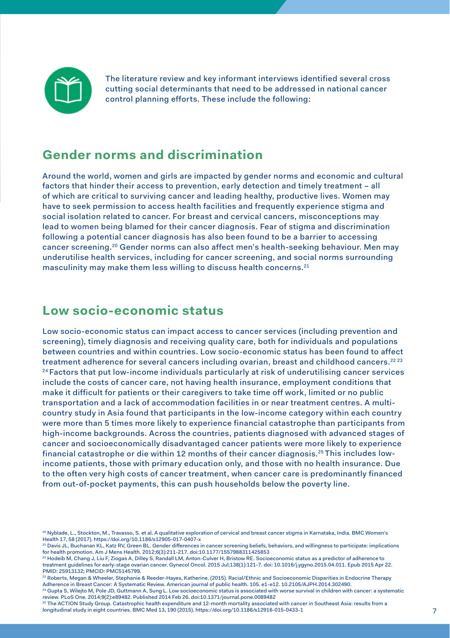

The literature review and key informant interviews identified several cross cutting social determinants that need to be addressed in national cancer control planning efforts. These include the following:

#### **Gender norms and discrimination**

Around the world, women and girls are impacted by gender norms and economic and cultural factors that hinder their access to prevention, early detection and timely treatment – all of which are critical to surviving cancer and leading healthy, productive lives. Women may have to seek permission to access health facilities and frequently experience stigma and social isolation related to cancer. For breast and cervical cancers, misconceptions may lead to women being blamed for their cancer diagnosis. Fear of stigma and discrimination following a potential cancer diagnosis has also been found to be a barrier to accessing cancer screening.20 Gender norms can also affect men's health-seeking behaviour. Men may underutilise health services, including for cancer screening, and social norms surrounding masculinity may make them less willing to discuss health concerns.<sup>21</sup>

#### **Low socio-economic status**

Low socio-economic status can impact access to cancer services (including prevention and screening), timely diagnosis and receiving quality care, both for individuals and populations between countries and within countries. Low socio-economic status has been found to affect treatment adherence for several cancers including ovarian, breast and childhood cancers.<sup>22 23</sup> <sup>24</sup> Factors that put low-income individuals particularly at risk of underutilising cancer services include the costs of cancer care, not having health insurance, employment conditions that make it difficult for patients or their caregivers to take time off work, limited or no public transportation and a lack of accommodation facilities in or near treatment centres. A multicountry study in Asia found that participants in the low-income category within each country were more than 5 times more likely to experience financial catastrophe than participants from high-income backgrounds. Across the countries, patients diagnosed with advanced stages of cancer and socioeconomically disadvantaged cancer patients were more likely to experience financial catastrophe or die within 12 months of their cancer diagnosis.25 This includes lowincome patients, those with primary education only, and those with no health insurance. Due to the often very high costs of cancer treatment, when cancer care is predominantly financed from out-of-pocket payments, this can push households below the poverty line.

<sup>20</sup> Nyblade, L., Stockton, M., Travasso, S. et al. A qualitative exploration of cervical and breast cancer stigma in Karnataka, India. BMC Women's Health 17, 58 (2017). https://doi.org/10.1186/s12905-017-0407-x

<sup>21</sup> Davis JL, Buchanan KL, Katz RV, Green BL. Gender differences in cancer screening beliefs, behaviors, and willingness to participate: implications for health promotion. Am J Mens Health. 2012;6(3):211-217. doi:10.1177/1557988311425853

<sup>22</sup> Hodeib M, Chang J, Liu F, Ziogas A, Dilley S, Randall LM, Anton-Culver H, Bristow RE. Socioeconomic status as a predictor of adherence to treatment guidelines for early-stage ovarian cancer. Gynecol Oncol. 2015 Jul;138(1):121-7. doi: 10.1016/j.ygyno.2015.04.011. Epub 2015 Apr 22. PMID: 25913132; PMCID: PMC5145799.

<sup>23</sup> Roberts, Megan & Wheeler, Stephanie & Reeder-Hayes, Katherine. (2015). Racial/Ethnic and Socioeconomic Disparities in Endocrine Therapy

Adherence in Breast Cancer: A Systematic Review. American journal of public health. 105. e1-e12. 10.2105/AJPH.2014.302490.<br>24 Gupta S, Wilejto M, Pole JD, Guttmann A, Sung L. Low socioeconomic status is associated with wor review. PLoS One. 2014;9(2):e89482. Published 2014 Feb 26. doi:10.1371/journal.pone.0089482

<sup>25</sup> The ACTION Study Group. Catastrophic health expenditure and 12-month mortality associated with cancer in Southeast Asia: results from a longitudinal study in eight countries. BMC Med 13, 190 (2015). https://doi.org/10.1186/s12916-015-0433-1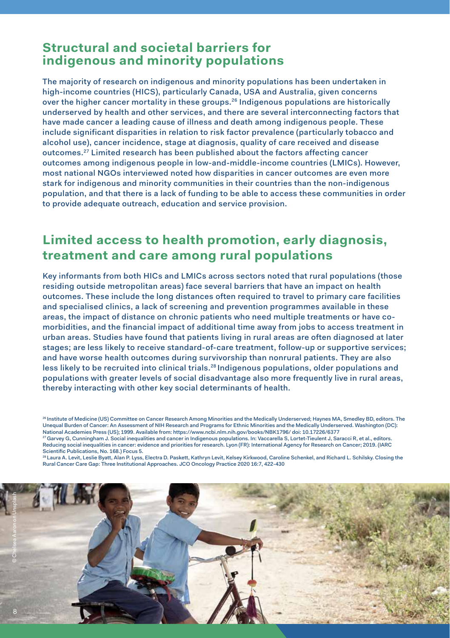#### **Structural and societal barriers for indigenous and minority populations**

The majority of research on indigenous and minority populations has been undertaken in high-income countries (HICS), particularly Canada, USA and Australia, given concerns over the higher cancer mortality in these groups.26 Indigenous populations are historically underserved by health and other services, and there are several interconnecting factors that have made cancer a leading cause of illness and death among indigenous people. These include significant disparities in relation to risk factor prevalence (particularly tobacco and alcohol use), cancer incidence, stage at diagnosis, quality of care received and disease outcomes.27 Limited research has been published about the factors affecting cancer outcomes among indigenous people in low-and-middle-income countries (LMICs). However, most national NGOs interviewed noted how disparities in cancer outcomes are even more stark for indigenous and minority communities in their countries than the non-indigenous population, and that there is a lack of funding to be able to access these communities in order to provide adequate outreach, education and service provision.

#### **Limited access to health promotion, early diagnosis, treatment and care among rural populations**

Key informants from both HICs and LMICs across sectors noted that rural populations (those residing outside metropolitan areas) face several barriers that have an impact on health outcomes. These include the long distances often required to travel to primary care facilities and specialised clinics, a lack of screening and prevention programmes available in these areas, the impact of distance on chronic patients who need multiple treatments or have comorbidities, and the financial impact of additional time away from jobs to access treatment in urban areas. Studies have found that patients living in rural areas are often diagnosed at later stages; are less likely to receive standard-of-care treatment, follow-up or supportive services; and have worse health outcomes during survivorship than nonrural patients. They are also less likely to be recruited into clinical trials.28 Indigenous populations, older populations and populations with greater levels of social disadvantage also more frequently live in rural areas, thereby interacting with other key social determinants of health.

26 Institute of Medicine (US) Committee on Cancer Research Among Minorities and the Medically Underserved; Haynes MA, Smedley BD, editors. The Unequal Burden of Cancer: An Assessment of NIH Research and Programs for Ethnic Minorities and the Medically Underserved. Washington (DC): National Academies Press (US); 1999. Available from: https://www.ncbi.nlm.nih.gov/books/NBK1796/ doi: 10.17226/6377 27 Garvey G, Cunningham J. Social inequalities and cancer in Indigenous populations. In: Vaccarella S, Lortet-Tieulent J, Saracci R, et al., editors. Reducing social inequalities in cancer: evidence and priorities for research. Lyon (FR): International Agency for Research on Cancer; 2019. (IARC

Scientific Publications, No. 168.) Focus 5. 28 Laura A. Levit, Leslie Byatt, Alan P. Lyss, Electra D. Paskett, Kathryn Levit, Kelsey Kirkwood, Caroline Schenkel, and Richard L. Schilsky. Closing the Rural Cancer Care Gap: Three Institutional Approaches. JCO Oncology Practice 2020 16:7, 422-430

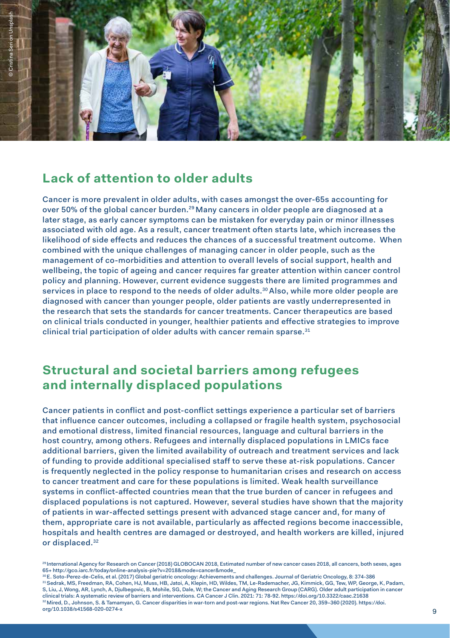

### **Lack of attention to older adults**

Cancer is more prevalent in older adults, with cases amongst the over-65s accounting for over 50% of the global cancer burden.29 Many cancers in older people are diagnosed at a later stage, as early cancer symptoms can be mistaken for everyday pain or minor illnesses associated with old age. As a result, cancer treatment often starts late, which increases the likelihood of side effects and reduces the chances of a successful treatment outcome. When combined with the unique challenges of managing cancer in older people, such as the management of co-morbidities and attention to overall levels of social support, health and wellbeing, the topic of ageing and cancer requires far greater attention within cancer control policy and planning. However, current evidence suggests there are limited programmes and services in place to respond to the needs of older adults.<sup>30</sup> Also, while more older people are diagnosed with cancer than younger people, older patients are vastly underrepresented in the research that sets the standards for cancer treatments. Cancer therapeutics are based on clinical trials conducted in younger, healthier patients and effective strategies to improve clinical trial participation of older adults with cancer remain sparse.<sup>31</sup>

### **Structural and societal barriers among refugees and internally displaced populations**

Cancer patients in conflict and post-conflict settings experience a particular set of barriers that influence cancer outcomes, including a collapsed or fragile health system, psychosocial and emotional distress, limited financial resources, language and cultural barriers in the host country, among others. Refugees and internally displaced populations in LMICs face additional barriers, given the limited availability of outreach and treatment services and lack of funding to provide additional specialised staff to serve these at-risk populations. Cancer is frequently neglected in the policy response to humanitarian crises and research on access to cancer treatment and care for these populations is limited. Weak health surveillance systems in conflict-affected countries mean that the true burden of cancer in refugees and displaced populations is not captured. However, several studies have shown that the majority of patients in war-affected settings present with advanced stage cancer and, for many of them, appropriate care is not available, particularly as affected regions become inaccessible, hospitals and health centres are damaged or destroyed, and health workers are killed, injured or displaced.32

<sup>29</sup> International Agency for Research on Cancer (2018) GLOBOCAN 2018, Estimated number of new cancer cases 2018, all cancers, both sexes, ages 65+ http://gco.iarc.fr/today/online-analysis-pie?v=2018&mode=cancer&mode\_

<sup>30</sup> E. Soto-Perez-de-Celis, et al. (2017) Global geriatric oncology: Achievements and challenges. Journal of Geriatric Oncology, 8: 374-386 31 Sedrak, MS, Freedman, RA, Cohen, HJ, Muss, HB, Jatoi, A, Klepin, HD, Wildes, TM, Le-Rademacher, JG, Kimmick, GG, Tew, WP, George, K, Padam, S, Liu, J, Wong, AR, Lynch, A, Djulbegovic, B, Mohile, SG, Dale, W; the Cancer and Aging Research Group (CARG). Older adult participation in cancer <sup>32</sup> Mired, D., Johnson, S. & Tamamyan, G. Cancer disparities in war-torn and post-war regions. Nat Rev Cancer 20, 359-360 (2020). https://doi. org/10.1038/s41568-020-0274-x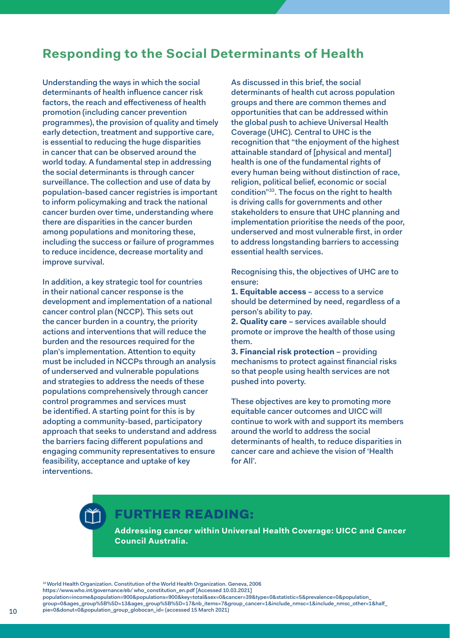#### **Responding to the Social Determinants of Health**

Understanding the ways in which the social determinants of health influence cancer risk factors, the reach and effectiveness of health promotion (including cancer prevention programmes), the provision of quality and timely early detection, treatment and supportive care, is essential to reducing the huge disparities in cancer that can be observed around the world today. A fundamental step in addressing the social determinants is through cancer surveillance. The collection and use of data by population-based cancer registries is important to inform policymaking and track the national cancer burden over time, understanding where there are disparities in the cancer burden among populations and monitoring these, including the success or failure of programmes to reduce incidence, decrease mortality and improve survival.

In addition, a key strategic tool for countries in their national cancer response is the development and implementation of a national cancer control plan (NCCP). This sets out the cancer burden in a country, the priority actions and interventions that will reduce the burden and the resources required for the plan's implementation. Attention to equity must be included in NCCPs through an analysis of underserved and vulnerable populations and strategies to address the needs of these populations comprehensively through cancer control programmes and services must be identified. A starting point for this is by adopting a community-based, participatory approach that seeks to understand and address the barriers facing different populations and engaging community representatives to ensure feasibility, acceptance and uptake of key interventions.

As discussed in this brief, the social determinants of health cut across population groups and there are common themes and opportunities that can be addressed within the global push to achieve Universal Health Coverage (UHC). Central to UHC is the recognition that "the enjoyment of the highest attainable standard of [physical and mental] health is one of the fundamental rights of every human being without distinction of race, religion, political belief, economic or social condition"33. The focus on the right to health is driving calls for governments and other stakeholders to ensure that UHC planning and implementation prioritise the needs of the poor, underserved and most vulnerable first, in order to address longstanding barriers to accessing essential health services.

Recognising this, the objectives of UHC are to ensure:

**1. Equitable access** – access to a service should be determined by need, regardless of a person's ability to pay.

**2. Quality care** – services available should promote or improve the health of those using them.

**3. Financial risk protection** – providing mechanisms to protect against financial risks so that people using health services are not pushed into poverty.

These objectives are key to promoting more equitable cancer outcomes and UICC will continue to work with and support its members around the world to address the social determinants of health, to reduce disparities in cancer care and achieve the vision of 'Health for All'.

### FURTHER READING:

**[Addressing cancer within Universal Health Coverage: UICC and Cancer](https://www.uicc.org/sites/main/files/atoms/files/UICC_Report_Universal-Health%20Coverage_FA.pdf)  [Council Australia.](https://www.uicc.org/sites/main/files/atoms/files/UICC_Report_Universal-Health%20Coverage_FA.pdf)**

<sup>33</sup> World Health Organization. Constitution of the World Health Organization. Geneva, 2006 https://www.who.int/governance/eb/ who\_constitution\_en.pdf [Accessed 10.03.2021] population=income&population=900&populations=900&key=total&sex=0&cancer=39&type=0&statistic=5&prevalence=0&population\_ .<br>group=0&ages\_group%5B%5D=13&ages\_group%5B%5D=17&nb\_items=7&group\_cancer=1&include\_nmsc=1&include\_nmsc\_other=1&half\_ pie=0&donut=0&population\_group\_globocan\_id= (accessed 15 March 2021)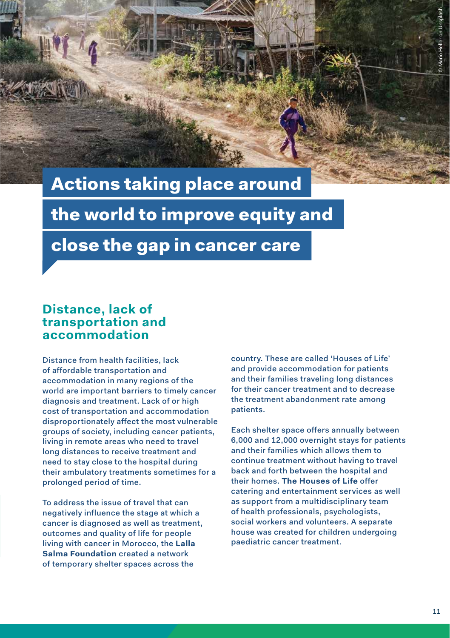### <span id="page-10-0"></span>Actions taking place around

the world to improve equity and

### close the gap in cancer care

#### **Distance, lack of transportation and accommodation**

Distance from health facilities, lack of affordable transportation and accommodation in many regions of the world are important barriers to timely cancer diagnosis and treatment. Lack of or high cost of transportation and accommodation disproportionately affect the most vulnerable groups of society, including cancer patients, living in remote areas who need to travel long distances to receive treatment and need to stay close to the hospital during their ambulatory treatments sometimes for a prolonged period of time.

To address the issue of travel that can negatively influence the stage at which a cancer is diagnosed as well as treatment, outcomes and quality of life for people living with cancer in Morocco, the **[Lalla](https://www.contrelecancer.ma/en/)  [Salma Foundation](https://www.contrelecancer.ma/en/)** created a network of temporary shelter spaces across the

country. These are called 'Houses of Life' and provide accommodation for patients and their families traveling long distances for their cancer treatment and to decrease the treatment abandonment rate among patients.

Each shelter space offers annually between 6,000 and 12,000 overnight stays for patients and their families which allows them to continue treatment without having to travel back and forth between the hospital and their homes. **[The Houses of Life](https://www.contrelecancer.ma/en/solidarite)** offer catering and entertainment services as well as support from a multidisciplinary team of health professionals, psychologists, social workers and volunteers. A separate house was created for children undergoing paediatric cancer treatment.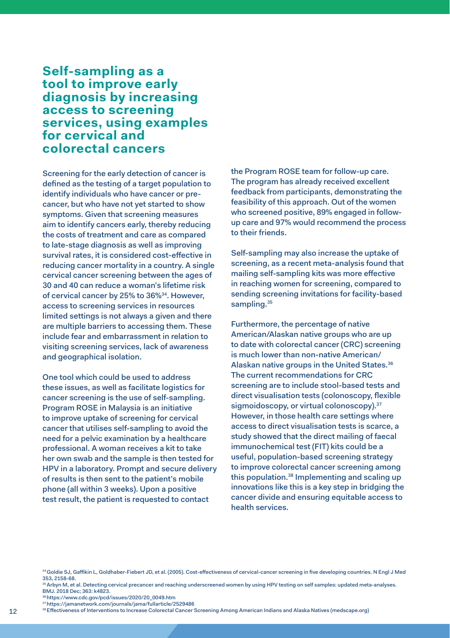#### **Self-sampling as a tool to improve early diagnosis by increasing access to screening services, using examples for cervical and colorectal cancers**

Screening for the early detection of cancer is defined as the testing of a target population to identify individuals who have cancer or precancer, but who have not yet started to show symptoms. Given that screening measures aim to identify cancers early, thereby reducing the costs of treatment and care as compared to late-stage diagnosis as well as improving survival rates, it is considered cost-effective in reducing cancer mortality in a country. A single cervical cancer screening between the ages of 30 and 40 can reduce a woman's lifetime risk of cervical cancer by 25% to 36%<sup>34</sup>. However, access to screening services in resources limited settings is not always a given and there are multiple barriers to accessing them. These include fear and embarrassment in relation to visiting screening services, lack of awareness and geographical isolation.

One tool which could be used to address these issues, as well as facilitate logistics for cancer screening is the use of self-sampling. Program ROSE in Malaysia is an initiative to improve uptake of screening for cervical cancer that utilises self-sampling to avoid the need for a pelvic examination by a healthcare professional. A woman receives a kit to take her own swab and the sample is then tested for HPV in a laboratory. Prompt and secure delivery of results is then sent to the patient's mobile phone (all within 3 weeks). Upon a positive test result, the patient is requested to contact

the Program ROSE team for follow-up care. The program has already received excellent feedback from participants, demonstrating the feasibility of this approach. Out of the women who screened positive, 89% engaged in followup care and 97% would recommend the process to their friends.

Self-sampling may also increase the uptake of screening, as a recent meta-analysis found that mailing self-sampling kits was more effective in reaching women for screening, compared to sending screening invitations for facility-based sampling.<sup>35</sup>

Furthermore, the percentage of native American/Alaskan native groups who are up to date with colorectal cancer (CRC) screening is much lower than non-native American/ Alaskan native groups in the United States.36 The current recommendations for CRC screening are to include stool-based tests and direct visualisation tests (colonoscopy, flexible sigmoidoscopy, or virtual colonoscopy).<sup>37</sup> However, in those health care settings where access to direct visualisation tests is scarce, a study showed that the direct mailing of faecal immunochemical test (FIT) kits could be a useful, population-based screening strategy to improve colorectal cancer screening among this population.38 Implementing and scaling up innovations like this is a key step in bridging the cancer divide and ensuring equitable access to health services.

34 Goldie SJ, Gaffikin L, Goldhaber-Fiebert JD, et al. (2005). Cost-effectiveness of cervical-cancer screening in five developing countries. N Engl J Med 353, 2158-68.

- 36 https://www.cdc.gov/pcd/issues/2020/20\_0049.htm
- 37 https://jamanetwork.com/journals/jama/fullarticle/2529486
- 38 Effectiveness of Interventions to Increase Colorectal Cancer Screening Among American Indians and Alaska Natives (medscape.org)

<sup>&</sup>lt;sup>35</sup> Arbyn M, et al. Detecting cervical precancer and reaching underscreened women by using HPV testing on self samples: updated meta-analyses. BMJ. 2018 Dec; 363: k4823.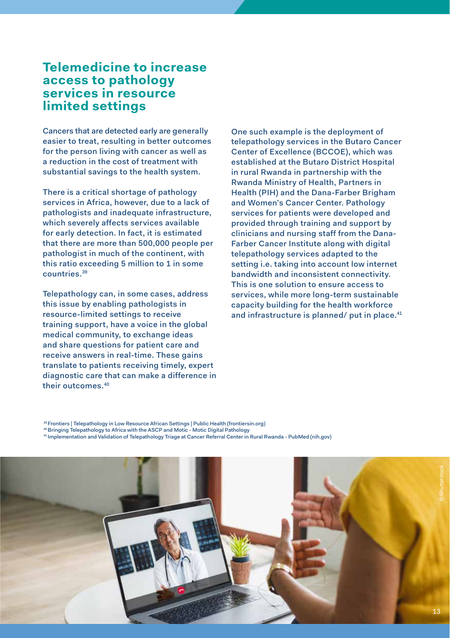#### **Telemedicine to increase access to pathology services in resource limited settings**

Cancers that are detected early are generally easier to treat, resulting in better outcomes for the person living with cancer as well as a reduction in the cost of treatment with substantial savings to the health system.

There is a critical shortage of pathology services in Africa, however, due to a lack of pathologists and inadequate infrastructure, which severely affects services available for early detection. In fact, it is estimated that there are more than 500,000 people per pathologist in much of the continent, with this ratio exceeding 5 million to 1 in some countries.39

Telepathology can, in some cases, address this issue by enabling pathologists in resource-limited settings to receive training support, have a voice in the global medical community, to exchange ideas and share questions for patient care and receive answers in real-time. These gains translate to patients receiving timely, expert diagnostic care that can make a difference in their outcomes.40

One such example is the deployment of telepathology services in the Butaro Cancer Center of Excellence (BCCOE), which was established at the Butaro District Hospital in rural Rwanda in partnership with the Rwanda Ministry of Health, Partners in Health (PIH) and the Dana-Farber Brigham and Women's Cancer Center. Pathology services for patients were developed and provided through training and support by clinicians and nursing staff from the Dana-Farber Cancer Institute along with digital telepathology services adapted to the setting i.e. taking into account low internet bandwidth and inconsistent connectivity. This is one solution to ensure access to services, while more long-term sustainable capacity building for the health workforce and infrastructure is planned/ put in place.<sup>41</sup>

<sup>39</sup> Frontiers | Telepathology in Low Resource African Settings | Public Health (frontiersin.org) <sup>40</sup> Bringing Telepathology to Africa with the ASCP and Motic - Motic Digital Pathology<br><sup>41</sup> Implementation and Validation of Telepathology Triage at Cancer Referral Center in Rural Rwanda - PubMed (nih.gov)

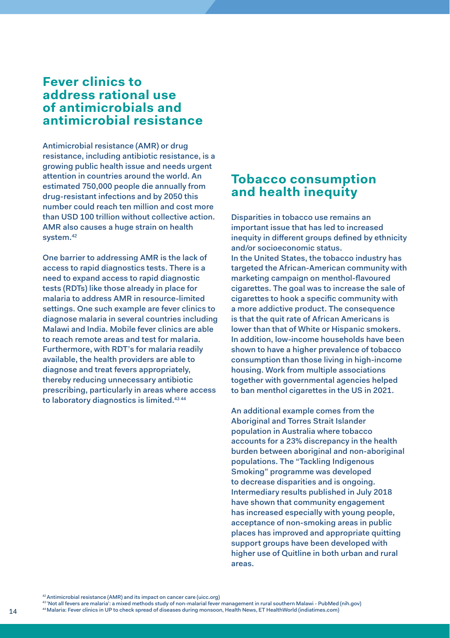#### **Fever clinics to address rational use of antimicrobials and antimicrobial resistance**

Antimicrobial resistance (AMR) or drug resistance, including antibiotic resistance, is a growing public health issue and needs urgent attention in countries around the world. An estimated 750,000 people die annually from drug-resistant infections and by 2050 this number could reach ten million and cost more than USD 100 trillion without collective action. AMR also causes a huge strain on health system.42

One barrier to addressing AMR is the lack of access to rapid diagnostics tests. There is a need to expand access to rapid diagnostic tests (RDTs) like those already in place for malaria to address AMR in resource-limited settings. One such example are fever clinics to diagnose malaria in several countries including Malawi and India. Mobile fever clinics are able to reach remote areas and test for malaria. Furthermore, with RDT's for malaria readily available, the health providers are able to diagnose and treat fevers appropriately, thereby reducing unnecessary antibiotic prescribing, particularly in areas where access to laboratory diagnostics is limited.<sup>43 44</sup>

#### **Tobacco consumption and health inequity**

Disparities in tobacco use remains an important issue that has led to increased inequity in different groups defined by ethnicity and/or socioeconomic status. In the United States, the tobacco industry has targeted the African-American community with marketing campaign on menthol-flavoured cigarettes. The goal was to increase the sale of cigarettes to hook a specific community with a more addictive product. The consequence is that the quit rate of African Americans is lower than that of White or Hispanic smokers. In addition, low-income households have been shown to have a higher prevalence of tobacco consumption than those living in high-income housing. Work from multiple associations together with governmental agencies helped to ban menthol cigarettes in the US in 2021.

An additional example comes from the Aboriginal and Torres Strait Islander population in Australia where tobacco accounts for a 23% discrepancy in the health burden between aboriginal and non-aboriginal populations. The "Tackling Indigenous Smoking" programme was developed to decrease disparities and is ongoing. Intermediary results published in July 2018 have shown that community engagement has increased especially with young people, acceptance of non-smoking areas in public places has improved and appropriate quitting support groups have been developed with higher use of Quitline in both urban and rural areas.

42 Antimicrobial resistance (AMR) and its impact on cancer care (uicc.org)

43 'Not all fevers are malaria': a mixed methods study of non-malarial fever management in rural southern Malawi - PubMed (nih.gov)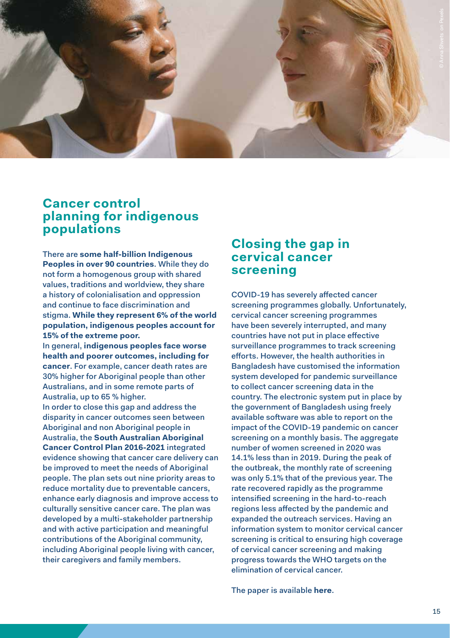#### **Cancer control planning for indigenous populations**

There are **[some half-billion Indigenous](https://www.worldbank.org/en/topic/indigenouspeoples#1)  [Peoples in over 90 countries](https://www.worldbank.org/en/topic/indigenouspeoples#1)**. While they do not form a homogenous group with shared values, traditions and worldview, they share a history of colonialisation and oppression and continue to face discrimination and stigma. **[While they represent 6% of the world](https://www.worldbank.org/en/topic/indigenouspeoples#1)  [population, indigenous peoples account for](https://www.worldbank.org/en/topic/indigenouspeoples#1)  [15% of the extreme poor.](https://www.worldbank.org/en/topic/indigenouspeoples#1)**

In general, **[indigenous peoples face worse](https://www.uicc.org/news/inequity-cancer-care-indigenous-peoples)  [health and poorer outcomes, including for](https://www.uicc.org/news/inequity-cancer-care-indigenous-peoples)  [cancer](https://www.uicc.org/news/inequity-cancer-care-indigenous-peoples)**. For example, cancer death rates are 30% higher for Aboriginal people than other Australians, and in some remote parts of Australia, up to 65 % higher.

In order to close this gap and address the disparity in cancer outcomes seen between Aboriginal and non Aboriginal people in Australia, the **[South Australian Aboriginal](https://www.iccp-portal.org/system/files/plans/sah_cancer_control_plan.pdf)  [Cancer Control Plan 2016-2021](https://www.iccp-portal.org/system/files/plans/sah_cancer_control_plan.pdf)** integrated evidence showing that cancer care delivery can be improved to meet the needs of Aboriginal people. The plan sets out nine priority areas to reduce mortality due to preventable cancers, enhance early diagnosis and improve access to culturally sensitive cancer care. The plan was developed by a multi-stakeholder partnership and with active participation and meaningful contributions of the Aboriginal community, including Aboriginal people living with cancer. their caregivers and family members.

#### **Closing the gap in cervical cancer screening**

COVID-19 has severely affected cancer screening programmes globally. Unfortunately, cervical cancer screening programmes have been severely interrupted, and many countries have not put in place effective surveillance programmes to track screening efforts. However, the health authorities in Bangladesh have customised the information system developed for pandemic surveillance to collect cancer screening data in the country. The electronic system put in place by the government of Bangladesh using freely available software was able to report on the impact of the COVID-19 pandemic on cancer screening on a monthly basis. The aggregate number of women screened in 2020 was 14.1% less than in 2019. During the peak of the outbreak, the monthly rate of screening was only 5.1% that of the previous year. The rate recovered rapidly as the programme intensified screening in the hard-to-reach regions less affected by the pandemic and expanded the outreach services. Having an information system to monitor cervical cancer screening is critical to ensuring high coverage of cervical cancer screening and making progress towards the WHO targets on the elimination of cervical cancer.

The paper is available **[here](https://www.sciencedirect.com/science/article/pii/S0091743521002085)**.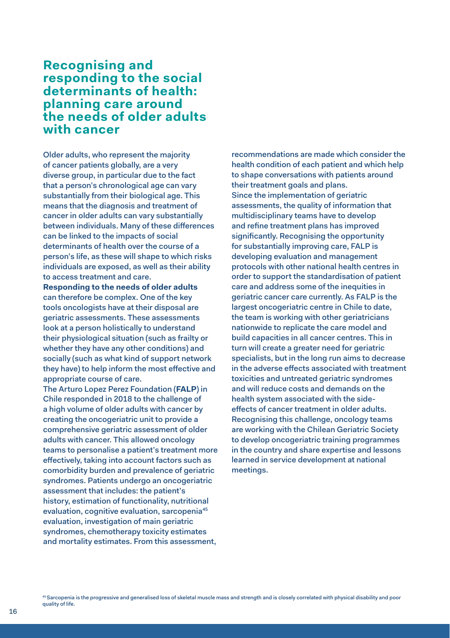#### **Recognising and responding to the social determinants of health: planning care around the needs of older adults with cancer**

Older adults, who represent the majority of cancer patients globally, are a very diverse group, in particular due to the fact that a person's chronological age can vary substantially from their biological age. This means that the diagnosis and treatment of cancer in older adults can vary substantially between individuals. Many of these differences can be linked to the impacts of social determinants of health over the course of a person's life, as these will shape to which risks individuals are exposed, as well as their ability to access treatment and care.

**[Responding to the needs of older adults](https://www.uicc.org/sites/main/files/atoms/files/Ageing-and-comorbidities-joint%2520brief_report.pdf)** can therefore be complex. One of the key tools oncologists have at their disposal are geriatric assessments. These assessments look at a person holistically to understand their physiological situation (such as frailty or whether they have any other conditions) and socially (such as what kind of support network they have) to help inform the most effective and appropriate course of care.

The Arturo Lopez Perez Foundation (**[FALP](https://www.institutoncologicofalp.cl/)**) in Chile responded in 2018 to the challenge of a high volume of older adults with cancer by creating the oncogeriatric unit to provide a comprehensive geriatric assessment of older adults with cancer. This allowed oncology teams to personalise a patient's treatment more effectively, taking into account factors such as comorbidity burden and prevalence of geriatric syndromes. Patients undergo an oncogeriatric assessment that includes: the patient's history, estimation of functionality, nutritional evaluation, cognitive evaluation, sarcopenia<sup>45</sup> evaluation, investigation of main geriatric syndromes, chemotherapy toxicity estimates and mortality estimates. From this assessment,

recommendations are made which consider the health condition of each patient and which help to shape conversations with patients around their treatment goals and plans. Since the implementation of geriatric assessments, the quality of information that multidisciplinary teams have to develop and refine treatment plans has improved significantly. Recognising the opportunity for substantially improving care, FALP is developing evaluation and management protocols with other national health centres in order to support the standardisation of patient care and address some of the inequities in geriatric cancer care currently. As FALP is the largest oncogeriatric centre in Chile to date, the team is working with other geriatricians nationwide to replicate the care model and build capacities in all cancer centres. This in turn will create a greater need for geriatric specialists, but in the long run aims to decrease in the adverse effects associated with treatment toxicities and untreated geriatric syndromes and will reduce costs and demands on the health system associated with the sideeffects of cancer treatment in older adults. Recognising this challenge, oncology teams are working with the Chilean Geriatric Society to develop oncogeriatric training programmes in the country and share expertise and lessons learned in service development at national meetings.